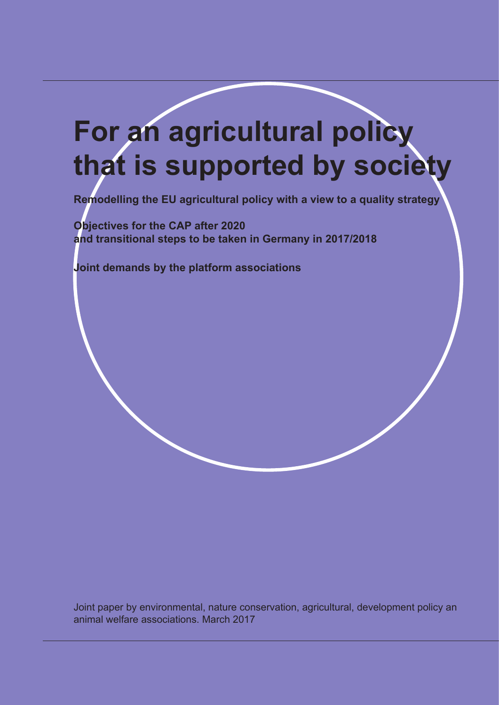# **For an agricultural policy that is supported by society**

**Remodelling the EU agricultural policy with a view to a quality strategy** 

**Objectives for the CAP after 2020 and transitional steps to be taken in Germany in 2017/2018**

**Joint demands by the platform associations** 

Joint paper by environmental, nature conservation, agricultural, development policy an animal welfare associations. March 2017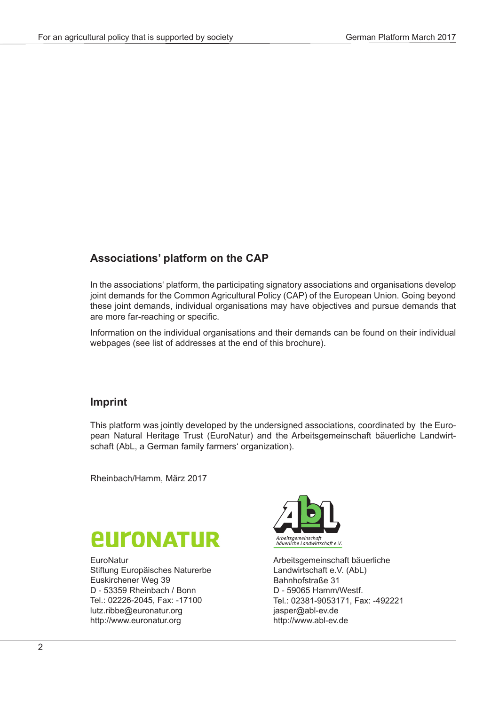### **Associations' platform on the CAP**

In the associations' platform, the participating signatory associations and organisations develop joint demands for the Common Agricultural Policy (CAP) of the European Union. Going beyond these joint demands, individual organisations may have objectives and pursue demands that are more far-reaching or specific.

Information on the individual organisations and their demands can be found on their individual webpages (see list of addresses at the end of this brochure).

#### **Imprint**

This platform was jointly developed by the undersigned associations, coordinated by the European Natural Heritage Trust (EuroNatur) and the Arbeitsgemeinschaft bäuerliche Landwirtschaft (AbL, a German family farmers' organization).

Rheinbach/Hamm, März 2017



**EuroNatur** Stiftung Europäisches Naturerbe Euskirchener Weg 39 D - 53359 Rheinbach / Bonn Tel.: 02226-2045, Fax: -17100 lutz.ribbe@euronatur.org http://www.euronatur.org



Arbeitsgemeinschaft bäuerliche Landwirtschaft e.V. (AbL) Bahnhofstraße 31 D - 59065 Hamm/Westf. Tel.: 02381-9053171, Fax: -492221 jasper@abl-ev.de http://www.abl-ev.de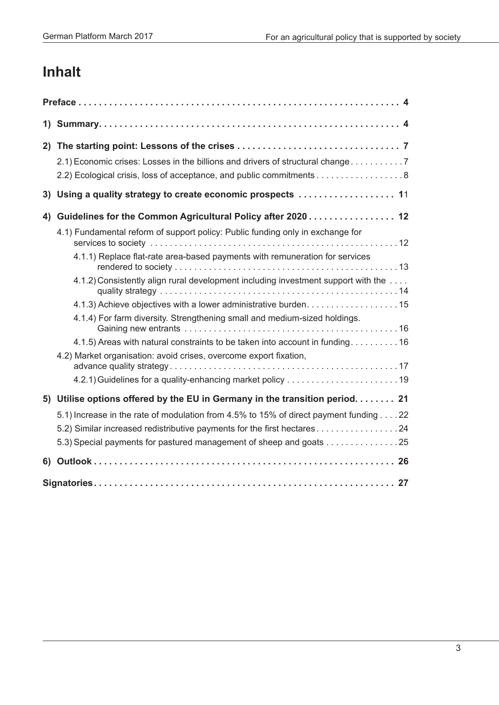# **Inhalt**

|    | 2.1) Economic crises: Losses in the billions and drivers of structural change 7<br>2.2) Ecological crisis, loss of acceptance, and public commitments 8 |
|----|---------------------------------------------------------------------------------------------------------------------------------------------------------|
|    | 3) Using a quality strategy to create economic prospects  11                                                                                            |
| 4) | Guidelines for the Common Agricultural Policy after 2020 12                                                                                             |
|    | 4.1) Fundamental reform of support policy: Public funding only in exchange for                                                                          |
|    | 4.1.1) Replace flat-rate area-based payments with remuneration for services                                                                             |
|    | 4.1.2) Consistently align rural development including investment support with the                                                                       |
|    |                                                                                                                                                         |
|    | 4.1.4) For farm diversity. Strengthening small and medium-sized holdings.                                                                               |
|    | 4.1.5) Areas with natural constraints to be taken into account in funding 16                                                                            |
|    | 4.2) Market organisation: avoid crises, overcome export fixation,                                                                                       |
|    |                                                                                                                                                         |
|    | 5) Utilise options offered by the EU in Germany in the transition period 21                                                                             |
|    | 5.1) Increase in the rate of modulation from 4.5% to 15% of direct payment funding 22                                                                   |
|    | 5.2) Similar increased redistributive payments for the first hectares24                                                                                 |
|    | 5.3) Special payments for pastured management of sheep and goats 25                                                                                     |
| 6) |                                                                                                                                                         |
|    |                                                                                                                                                         |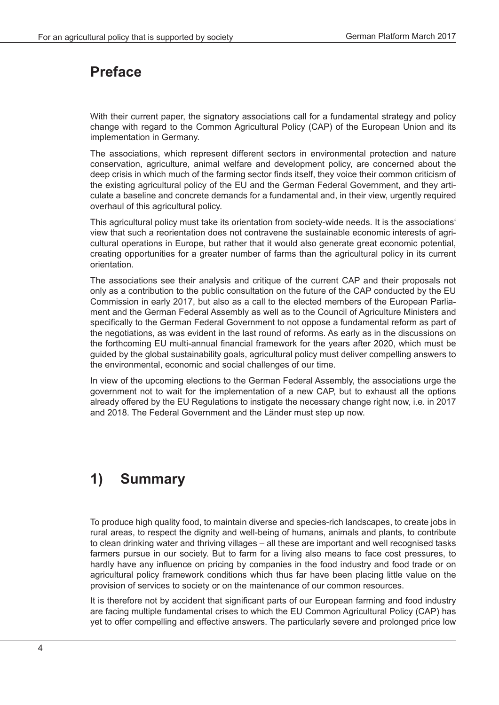# **Preface**

With their current paper, the signatory associations call for a fundamental strategy and policy change with regard to the Common Agricultural Policy (CAP) of the European Union and its implementation in Germany.

The associations, which represent different sectors in environmental protection and nature conservation, agriculture, animal welfare and development policy, are concerned about the deep crisis in which much of the farming sector finds itself, they voice their common criticism of the existing agricultural policy of the EU and the German Federal Government, and they articulate a baseline and concrete demands for a fundamental and, in their view, urgently required overhaul of this agricultural policy.

This agricultural policy must take its orientation from society-wide needs. It is the associations' view that such a reorientation does not contravene the sustainable economic interests of agricultural operations in Europe, but rather that it would also generate great economic potential, creating opportunities for a greater number of farms than the agricultural policy in its current orientation.

The associations see their analysis and critique of the current CAP and their proposals not only as a contribution to the public consultation on the future of the CAP conducted by the EU Commission in early 2017, but also as a call to the elected members of the European Parliament and the German Federal Assembly as well as to the Council of Agriculture Ministers and specifically to the German Federal Government to not oppose a fundamental reform as part of the negotiations, as was evident in the last round of reforms. As early as in the discussions on the forthcoming EU multi-annual financial framework for the years after 2020, which must be guided by the global sustainability goals, agricultural policy must deliver compelling answers to the environmental, economic and social challenges of our time.

In view of the upcoming elections to the German Federal Assembly, the associations urge the government not to wait for the implementation of a new CAP, but to exhaust all the options already offered by the EU Regulations to instigate the necessary change right now, i.e. in 2017 and 2018. The Federal Government and the Länder must step up now.

# **1) Summary**

To produce high quality food, to maintain diverse and species-rich landscapes, to create jobs in rural areas, to respect the dignity and well-being of humans, animals and plants, to contribute to clean drinking water and thriving villages – all these are important and well recognised tasks farmers pursue in our society. But to farm for a living also means to face cost pressures, to hardly have any influence on pricing by companies in the food industry and food trade or on agricultural policy framework conditions which thus far have been placing little value on the provision of services to society or on the maintenance of our common resources.

It is therefore not by accident that significant parts of our European farming and food industry are facing multiple fundamental crises to which the EU Common Agricultural Policy (CAP) has yet to offer compelling and effective answers. The particularly severe and prolonged price low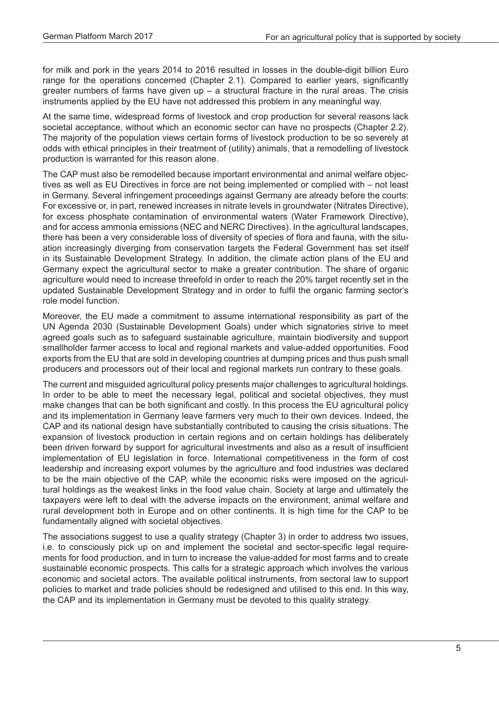for milk and pork in the years 2014 to 2016 resulted in losses in the double-digit billion Euro range for the operations concerned (Chapter 2.1). Compared to earlier years, significantly greater numbers of farms have given  $up - a$  structural fracture in the rural areas. The crisis instruments applied by the EU have not addressed this problem in any meaningful way.

At the same time, widespread forms of livestock and crop production for several reasons lack societal acceptance, without which an economic sector can have no prospects (Chapter 2.2). The majority of the population views certain forms of livestock production to be so severely at odds with ethical principles in their treatment of (utility) animals, that a remodelling of livestock production is warranted for this reason alone.

The CAP must also be remodelled because important environmental and animal welfare objectives as well as EU Directives in force are not being implemented or complied with – not least in Germany. Several infringement proceedings against Germany are already before the courts: For excessive or, in part, renewed increases in nitrate levels in groundwater (Nitrates Directive), for excess phosphate contamination of environmental waters (Water Framework Directive), and for access ammonia emissions (NEC and NERC Directives). In the agricultural landscapes, there has been a very considerable loss of diversity of species of flora and fauna, with the situation increasingly diverging from conservation targets the Federal Government has set itself in its Sustainable Development Strategy. In addition, the climate action plans of the EU and Germany expect the agricultural sector to make a greater contribution. The share of organic agriculture would need to increase threefold in order to reach the 20% target recently set in the updated Sustainable Development Strategy and in order to fulfil the organic farming sector's role model function.

Moreover, the EU made a commitment to assume international responsibility as part of the UN Agenda 2030 (Sustainable Development Goals) under which signatories strive to meet agreed goals such as to safeguard sustainable agriculture, maintain biodiversity and support smallholder farmer access to local and regional markets and value-added opportunities. Food exports from the EU that are sold in developing countries at dumping prices and thus push small producers and processors out of their local and regional markets run contrary to these goals.

The current and misguided agricultural policy presents major challenges to agricultural holdings. In order to be able to meet the necessary legal, political and societal objectives, they must make changes that can be both significant and costly. In this process the EU agricultural policy and its implementation in Germany leave farmers very much to their own devices. Indeed, the CAP and its national design have substantially contributed to causing the crisis situations. The expansion of livestock production in certain regions and on certain holdings has deliberately been driven forward by support for agricultural investments and also as a result of insufficient implementation of EU legislation in force. International competitiveness in the form of cost leadership and increasing export volumes by the agriculture and food industries was declared to be the main objective of the CAP, while the economic risks were imposed on the agricultural holdings as the weakest links in the food value chain. Society at large and ultimately the taxpayers were left to deal with the adverse impacts on the environment, animal welfare and rural development both in Europe and on other continents. It is high time for the CAP to be fundamentally aligned with societal objectives.

The associations suggest to use a quality strategy (Chapter 3) in order to address two issues, i.e. to consciously pick up on and implement the societal and sector-specific legal requirements for food production, and in turn to increase the value-added for most farms and to create sustainable economic prospects. This calls for a strategic approach which involves the various economic and societal actors. The available political instruments, from sectoral law to support policies to market and trade policies should be redesigned and utilised to this end. In this way, the CAP and its implementation in Germany must be devoted to this quality strategy.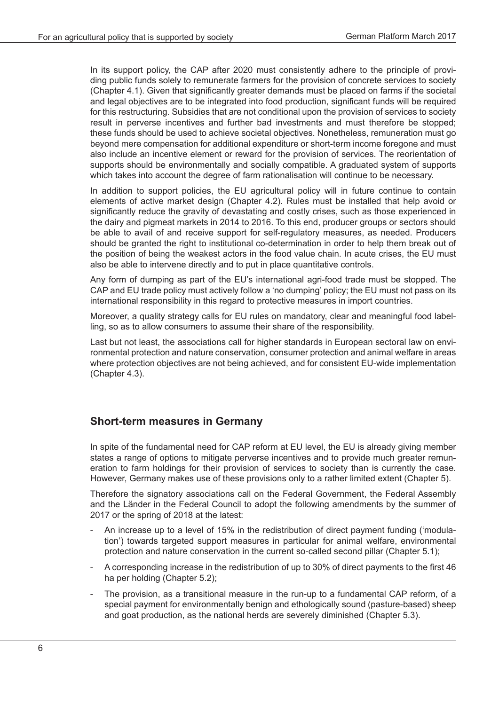In its support policy, the CAP after 2020 must consistently adhere to the principle of providing public funds solely to remunerate farmers for the provision of concrete services to society (Chapter 4.1). Given that significantly greater demands must be placed on farms if the societal and legal objectives are to be integrated into food production, significant funds will be required for this restructuring. Subsidies that are not conditional upon the provision of services to society result in perverse incentives and further bad investments and must therefore be stopped; these funds should be used to achieve societal objectives. Nonetheless, remuneration must go beyond mere compensation for additional expenditure or short-term income foregone and must also include an incentive element or reward for the provision of services. The reorientation of supports should be environmentally and socially compatible. A graduated system of supports which takes into account the degree of farm rationalisation will continue to be necessary.

In addition to support policies, the EU agricultural policy will in future continue to contain elements of active market design (Chapter 4.2). Rules must be installed that help avoid or significantly reduce the gravity of devastating and costly crises, such as those experienced in the dairy and pigmeat markets in 2014 to 2016. To this end, producer groups or sectors should be able to avail of and receive support for self-regulatory measures, as needed. Producers should be granted the right to institutional co-determination in order to help them break out of the position of being the weakest actors in the food value chain. In acute crises, the EU must also be able to intervene directly and to put in place quantitative controls.

Any form of dumping as part of the EU's international agri-food trade must be stopped. The CAP and EU trade policy must actively follow a 'no dumping' policy; the EU must not pass on its international responsibility in this regard to protective measures in import countries.

Moreover, a quality strategy calls for EU rules on mandatory, clear and meaningful food labelling, so as to allow consumers to assume their share of the responsibility.

Last but not least, the associations call for higher standards in European sectoral law on environmental protection and nature conservation, consumer protection and animal welfare in areas where protection objectives are not being achieved, and for consistent EU-wide implementation (Chapter 4.3).

#### **Short-term measures in Germany**

In spite of the fundamental need for CAP reform at EU level, the EU is already giving member states a range of options to mitigate perverse incentives and to provide much greater remuneration to farm holdings for their provision of services to society than is currently the case. However, Germany makes use of these provisions only to a rather limited extent (Chapter 5).

Therefore the signatory associations call on the Federal Government, the Federal Assembly and the Länder in the Federal Council to adopt the following amendments by the summer of 2017 or the spring of 2018 at the latest:

- An increase up to a level of 15% in the redistribution of direct payment funding ('modulation') towards targeted support measures in particular for animal welfare, environmental protection and nature conservation in the current so-called second pillar (Chapter 5.1);
- A corresponding increase in the redistribution of up to 30% of direct payments to the first 46 ha per holding (Chapter 5.2);
- The provision, as a transitional measure in the run-up to a fundamental CAP reform, of a special payment for environmentally benign and ethologically sound (pasture-based) sheep and goat production, as the national herds are severely diminished (Chapter 5.3).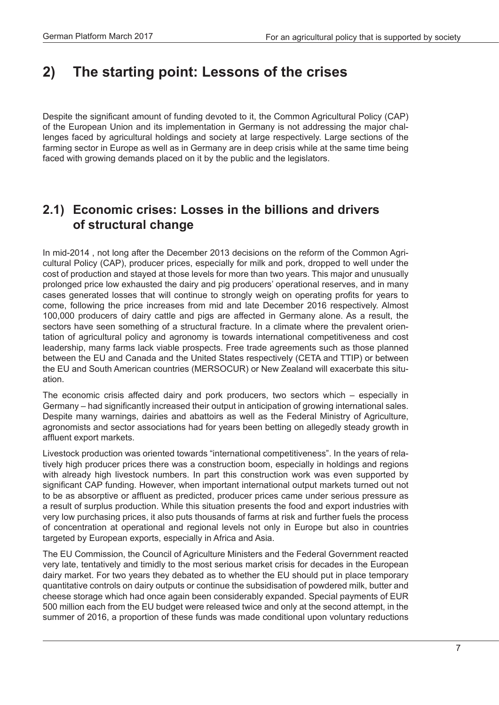# **2) The starting point: Lessons of the crises**

Despite the significant amount of funding devoted to it, the Common Agricultural Policy (CAP) of the European Union and its implementation in Germany is not addressing the major challenges faced by agricultural holdings and society at large respectively. Large sections of the farming sector in Europe as well as in Germany are in deep crisis while at the same time being faced with growing demands placed on it by the public and the legislators.

## **2.1) Economic crises: Losses in the billions and drivers of structural change**

In mid-2014 , not long after the December 2013 decisions on the reform of the Common Agricultural Policy (CAP), producer prices, especially for milk and pork, dropped to well under the cost of production and stayed at those levels for more than two years. This major and unusually prolonged price low exhausted the dairy and pig producers' operational reserves, and in many cases generated losses that will continue to strongly weigh on operating profits for years to come, following the price increases from mid and late December 2016 respectively. Almost 100,000 producers of dairy cattle and pigs are affected in Germany alone. As a result, the sectors have seen something of a structural fracture. In a climate where the prevalent orientation of agricultural policy and agronomy is towards international competitiveness and cost leadership, many farms lack viable prospects. Free trade agreements such as those planned between the EU and Canada and the United States respectively (CETA and TTIP) or between the EU and South American countries (MERSOCUR) or New Zealand will exacerbate this situation.

The economic crisis affected dairy and pork producers, two sectors which – especially in Germany – had significantly increased their output in anticipation of growing international sales. Despite many warnings, dairies and abattoirs as well as the Federal Ministry of Agriculture, agronomists and sector associations had for years been betting on allegedly steady growth in affluent export markets.

Livestock production was oriented towards "international competitiveness". In the years of relatively high producer prices there was a construction boom, especially in holdings and regions with already high livestock numbers. In part this construction work was even supported by significant CAP funding. However, when important international output markets turned out not to be as absorptive or affluent as predicted, producer prices came under serious pressure as a result of surplus production. While this situation presents the food and export industries with very low purchasing prices, it also puts thousands of farms at risk and further fuels the process of concentration at operational and regional levels not only in Europe but also in countries targeted by European exports, especially in Africa and Asia.

The EU Commission, the Council of Agriculture Ministers and the Federal Government reacted very late, tentatively and timidly to the most serious market crisis for decades in the European dairy market. For two years they debated as to whether the EU should put in place temporary quantitative controls on dairy outputs or continue the subsidisation of powdered milk, butter and cheese storage which had once again been considerably expanded. Special payments of EUR 500 million each from the EU budget were released twice and only at the second attempt, in the summer of 2016, a proportion of these funds was made conditional upon voluntary reductions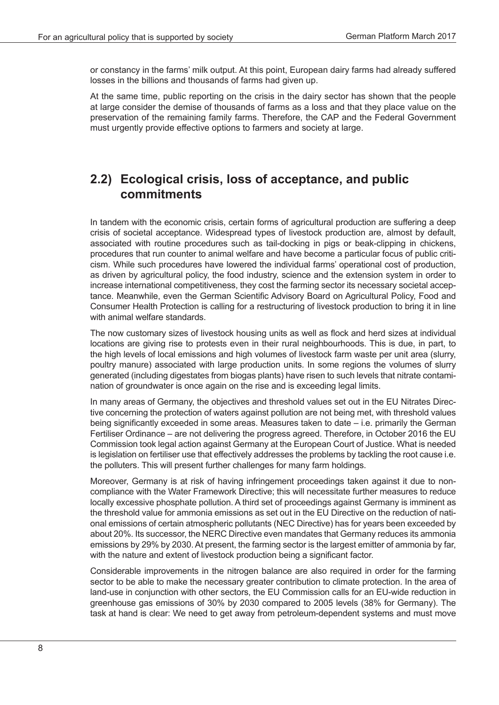or constancy in the farms' milk output. At this point, European dairy farms had already suffered losses in the billions and thousands of farms had given up.

At the same time, public reporting on the crisis in the dairy sector has shown that the people at large consider the demise of thousands of farms as a loss and that they place value on the preservation of the remaining family farms. Therefore, the CAP and the Federal Government must urgently provide effective options to farmers and society at large.

## **2.2) Ecological crisis, loss of acceptance, and public commitments**

In tandem with the economic crisis, certain forms of agricultural production are suffering a deep crisis of societal acceptance. Widespread types of livestock production are, almost by default, associated with routine procedures such as tail-docking in pigs or beak-clipping in chickens, procedures that run counter to animal welfare and have become a particular focus of public criticism. While such procedures have lowered the individual farms' operational cost of production, as driven by agricultural policy, the food industry, science and the extension system in order to increase international competitiveness, they cost the farming sector its necessary societal acceptance. Meanwhile, even the German Scientific Advisory Board on Agricultural Policy, Food and Consumer Health Protection is calling for a restructuring of livestock production to bring it in line with animal welfare standards.

The now customary sizes of livestock housing units as well as flock and herd sizes at individual locations are giving rise to protests even in their rural neighbourhoods. This is due, in part, to the high levels of local emissions and high volumes of livestock farm waste per unit area (slurry, poultry manure) associated with large production units. In some regions the volumes of slurry generated (including digestates from biogas plants) have risen to such levels that nitrate contamination of groundwater is once again on the rise and is exceeding legal limits.

In many areas of Germany, the objectives and threshold values set out in the EU Nitrates Directive concerning the protection of waters against pollution are not being met, with threshold values being significantly exceeded in some areas. Measures taken to date – i.e. primarily the German Fertiliser Ordinance – are not delivering the progress agreed. Therefore, in October 2016 the EU Commission took legal action against Germany at the European Court of Justice. What is needed is legislation on fertiliser use that effectively addresses the problems by tackling the root cause i.e. the polluters. This will present further challenges for many farm holdings.

Moreover, Germany is at risk of having infringement proceedings taken against it due to noncompliance with the Water Framework Directive; this will necessitate further measures to reduce locally excessive phosphate pollution. A third set of proceedings against Germany is imminent as the threshold value for ammonia emissions as set out in the EU Directive on the reduction of national emissions of certain atmospheric pollutants (NEC Directive) has for years been exceeded by about 20%. Its successor, the NERC Directive even mandates that Germany reduces its ammonia emissions by 29% by 2030. At present, the farming sector is the largest emitter of ammonia by far, with the nature and extent of livestock production being a significant factor.

Considerable improvements in the nitrogen balance are also required in order for the farming sector to be able to make the necessary greater contribution to climate protection. In the area of land-use in conjunction with other sectors, the EU Commission calls for an EU-wide reduction in greenhouse gas emissions of 30% by 2030 compared to 2005 levels (38% for Germany). The task at hand is clear: We need to get away from petroleum-dependent systems and must move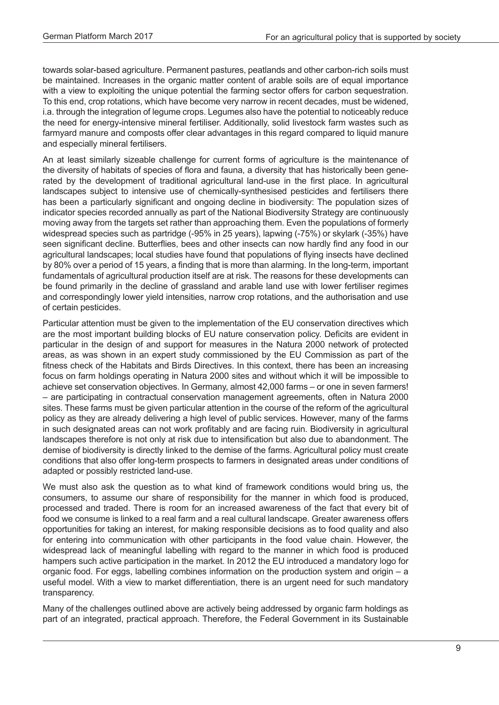towards solar-based agriculture. Permanent pastures, peatlands and other carbon-rich soils must be maintained. Increases in the organic matter content of arable soils are of equal importance with a view to exploiting the unique potential the farming sector offers for carbon sequestration. To this end, crop rotations, which have become very narrow in recent decades, must be widened, i.a. through the integration of legume crops. Legumes also have the potential to noticeably reduce the need for energy-intensive mineral fertiliser. Additionally, solid livestock farm wastes such as farmyard manure and composts offer clear advantages in this regard compared to liquid manure and especially mineral fertilisers.

An at least similarly sizeable challenge for current forms of agriculture is the maintenance of the diversity of habitats of species of flora and fauna, a diversity that has historically been generated by the development of traditional agricultural land-use in the first place. In agricultural landscapes subject to intensive use of chemically-synthesised pesticides and fertilisers there has been a particularly significant and ongoing decline in biodiversity: The population sizes of indicator species recorded annually as part of the National Biodiversity Strategy are continuously moving away from the targets set rather than approaching them. Even the populations of formerly widespread species such as partridge (-95% in 25 years), lapwing (-75%) or skylark (-35%) have seen significant decline. Butterflies, bees and other insects can now hardly find any food in our agricultural landscapes; local studies have found that populations of flying insects have declined by 80% over a period of 15 years, a finding that is more than alarming. In the long-term, important fundamentals of agricultural production itself are at risk. The reasons for these developments can be found primarily in the decline of grassland and arable land use with lower fertiliser regimes and correspondingly lower yield intensities, narrow crop rotations, and the authorisation and use of certain pesticides.

Particular attention must be given to the implementation of the EU conservation directives which are the most important building blocks of EU nature conservation policy. Deficits are evident in particular in the design of and support for measures in the Natura 2000 network of protected areas, as was shown in an expert study commissioned by the EU Commission as part of the fitness check of the Habitats and Birds Directives. In this context, there has been an increasing focus on farm holdings operating in Natura 2000 sites and without which it will be impossible to achieve set conservation objectives. In Germany, almost 42,000 farms – or one in seven farmers! – are participating in contractual conservation management agreements, often in Natura 2000 sites. These farms must be given particular attention in the course of the reform of the agricultural policy as they are already delivering a high level of public services. However, many of the farms in such designated areas can not work profitably and are facing ruin. Biodiversity in agricultural landscapes therefore is not only at risk due to intensification but also due to abandonment. The demise of biodiversity is directly linked to the demise of the farms. Agricultural policy must create conditions that also offer long-term prospects to farmers in designated areas under conditions of adapted or possibly restricted land-use.

We must also ask the question as to what kind of framework conditions would bring us, the consumers, to assume our share of responsibility for the manner in which food is produced, processed and traded. There is room for an increased awareness of the fact that every bit of food we consume is linked to a real farm and a real cultural landscape. Greater awareness offers opportunities for taking an interest, for making responsible decisions as to food quality and also for entering into communication with other participants in the food value chain. However, the widespread lack of meaningful labelling with regard to the manner in which food is produced hampers such active participation in the market. In 2012 the EU introduced a mandatory logo for organic food. For eggs, labelling combines information on the production system and origin – a useful model. With a view to market differentiation, there is an urgent need for such mandatory transparency.

Many of the challenges outlined above are actively being addressed by organic farm holdings as part of an integrated, practical approach. Therefore, the Federal Government in its Sustainable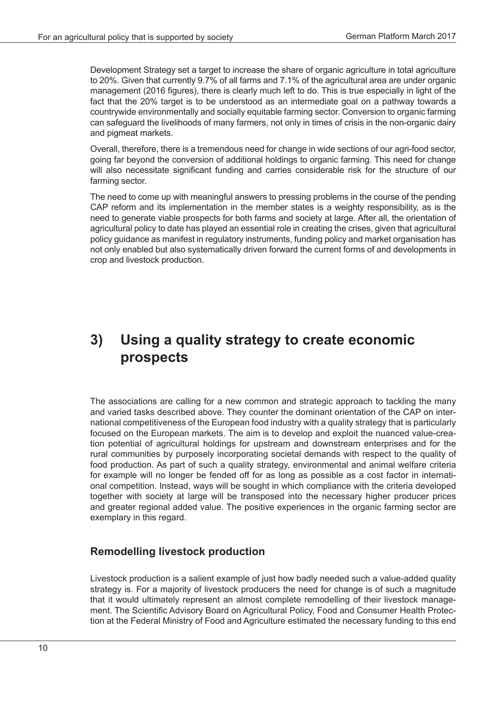Development Strategy set a target to increase the share of organic agriculture in total agriculture to 20%. Given that currently 9.7% of all farms and 7.1% of the agricultural area are under organic management (2016 figures), there is clearly much left to do. This is true especially in light of the fact that the 20% target is to be understood as an intermediate goal on a pathway towards a countrywide environmentally and socially equitable farming sector. Conversion to organic farming can safeguard the livelihoods of many farmers, not only in times of crisis in the non-organic dairy and pigmeat markets.

Overall, therefore, there is a tremendous need for change in wide sections of our agri-food sector, going far beyond the conversion of additional holdings to organic farming. This need for change will also necessitate significant funding and carries considerable risk for the structure of our farming sector.

The need to come up with meaningful answers to pressing problems in the course of the pending CAP reform and its implementation in the member states is a weighty responsibility, as is the need to generate viable prospects for both farms and society at large. After all, the orientation of agricultural policy to date has played an essential role in creating the crises, given that agricultural policy guidance as manifest in regulatory instruments, funding policy and market organisation has not only enabled but also systematically driven forward the current forms of and developments in crop and livestock production.

# **3) Using a quality strategy to create economic prospects**

The associations are calling for a new common and strategic approach to tackling the many and varied tasks described above. They counter the dominant orientation of the CAP on international competitiveness of the European food industry with a quality strategy that is particularly focused on the European markets. The aim is to develop and exploit the nuanced value-creation potential of agricultural holdings for upstream and downstream enterprises and for the rural communities by purposely incorporating societal demands with respect to the quality of food production. As part of such a quality strategy, environmental and animal welfare criteria for example will no longer be fended off for as long as possible as a cost factor in international competition. Instead, ways will be sought in which compliance with the criteria developed together with society at large will be transposed into the necessary higher producer prices and greater regional added value. The positive experiences in the organic farming sector are exemplary in this regard.

#### **Remodelling livestock production**

Livestock production is a salient example of just how badly needed such a value-added quality strategy is. For a majority of livestock producers the need for change is of such a magnitude that it would ultimately represent an almost complete remodelling of their livestock management. The Scientific Advisory Board on Agricultural Policy, Food and Consumer Health Protection at the Federal Ministry of Food and Agriculture estimated the necessary funding to this end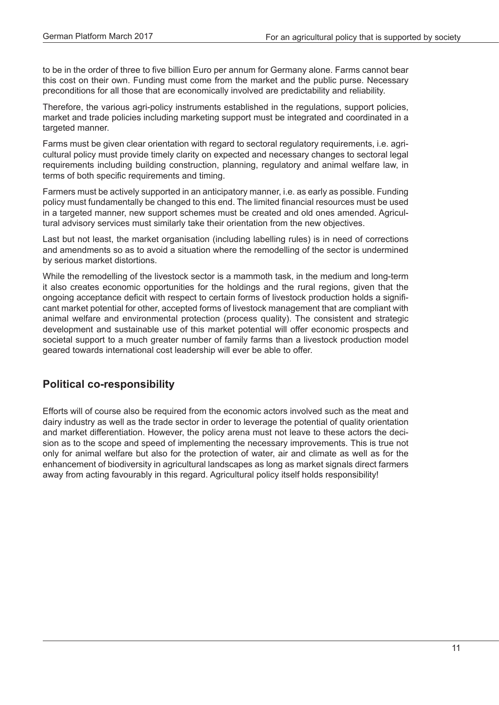to be in the order of three to five billion Euro per annum for Germany alone. Farms cannot bear this cost on their own. Funding must come from the market and the public purse. Necessary preconditions for all those that are economically involved are predictability and reliability.

Therefore, the various agri-policy instruments established in the regulations, support policies, market and trade policies including marketing support must be integrated and coordinated in a targeted manner.

Farms must be given clear orientation with regard to sectoral regulatory requirements, i.e. agricultural policy must provide timely clarity on expected and necessary changes to sectoral legal requirements including building construction, planning, regulatory and animal welfare law, in terms of both specific requirements and timing.

Farmers must be actively supported in an anticipatory manner, i.e. as early as possible. Funding policy must fundamentally be changed to this end. The limited financial resources must be used in a targeted manner, new support schemes must be created and old ones amended. Agricultural advisory services must similarly take their orientation from the new objectives.

Last but not least, the market organisation (including labelling rules) is in need of corrections and amendments so as to avoid a situation where the remodelling of the sector is undermined by serious market distortions.

While the remodelling of the livestock sector is a mammoth task, in the medium and long-term it also creates economic opportunities for the holdings and the rural regions, given that the ongoing acceptance deficit with respect to certain forms of livestock production holds a significant market potential for other, accepted forms of livestock management that are compliant with animal welfare and environmental protection (process quality). The consistent and strategic development and sustainable use of this market potential will offer economic prospects and societal support to a much greater number of family farms than a livestock production model geared towards international cost leadership will ever be able to offer.

#### **Political co-responsibility**

Efforts will of course also be required from the economic actors involved such as the meat and dairy industry as well as the trade sector in order to leverage the potential of quality orientation and market differentiation. However, the policy arena must not leave to these actors the decision as to the scope and speed of implementing the necessary improvements. This is true not only for animal welfare but also for the protection of water, air and climate as well as for the enhancement of biodiversity in agricultural landscapes as long as market signals direct farmers away from acting favourably in this regard. Agricultural policy itself holds responsibility!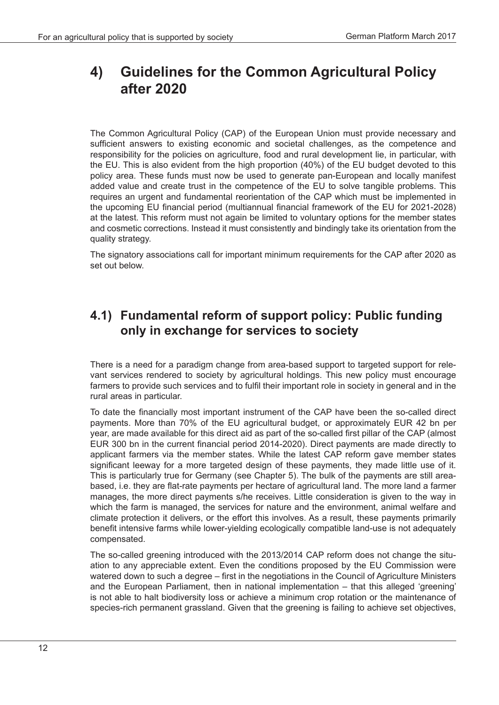# **4) Guidelines for the Common Agricultural Policy after 2020**

The Common Agricultural Policy (CAP) of the European Union must provide necessary and sufficient answers to existing economic and societal challenges, as the competence and responsibility for the policies on agriculture, food and rural development lie, in particular, with the EU. This is also evident from the high proportion (40%) of the EU budget devoted to this policy area. These funds must now be used to generate pan-European and locally manifest added value and create trust in the competence of the EU to solve tangible problems. This requires an urgent and fundamental reorientation of the CAP which must be implemented in the upcoming EU financial period (multiannual financial framework of the EU for 2021-2028) at the latest. This reform must not again be limited to voluntary options for the member states and cosmetic corrections. Instead it must consistently and bindingly take its orientation from the quality strategy.

The signatory associations call for important minimum requirements for the CAP after 2020 as set out below.

## **4.1) Fundamental reform of support policy: Public funding only in exchange for services to society**

There is a need for a paradigm change from area-based support to targeted support for relevant services rendered to society by agricultural holdings. This new policy must encourage farmers to provide such services and to fulfil their important role in society in general and in the rural areas in particular.

To date the financially most important instrument of the CAP have been the so-called direct payments. More than 70% of the EU agricultural budget, or approximately EUR 42 bn per year, are made available for this direct aid as part of the so-called first pillar of the CAP (almost EUR 300 bn in the current financial period 2014-2020). Direct payments are made directly to applicant farmers via the member states. While the latest CAP reform gave member states significant leeway for a more targeted design of these payments, they made little use of it. This is particularly true for Germany (see Chapter 5). The bulk of the payments are still areabased, i.e. they are flat-rate payments per hectare of agricultural land. The more land a farmer manages, the more direct payments s/he receives. Little consideration is given to the way in which the farm is managed, the services for nature and the environment, animal welfare and climate protection it delivers, or the effort this involves. As a result, these payments primarily benefit intensive farms while lower-yielding ecologically compatible land-use is not adequately compensated.

The so-called greening introduced with the 2013/2014 CAP reform does not change the situation to any appreciable extent. Even the conditions proposed by the EU Commission were watered down to such a degree – first in the negotiations in the Council of Agriculture Ministers and the European Parliament, then in national implementation – that this alleged 'greening' is not able to halt biodiversity loss or achieve a minimum crop rotation or the maintenance of species-rich permanent grassland. Given that the greening is failing to achieve set objectives,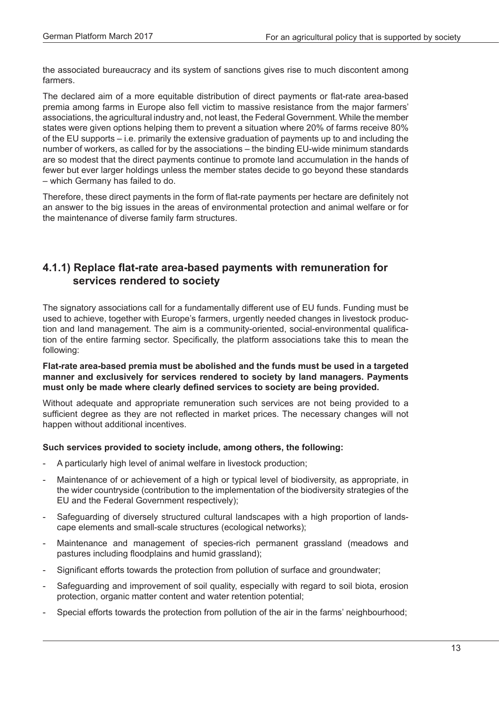the associated bureaucracy and its system of sanctions gives rise to much discontent among farmers.

The declared aim of a more equitable distribution of direct payments or flat-rate area-based premia among farms in Europe also fell victim to massive resistance from the major farmers' associations, the agricultural industry and, not least, the Federal Government. While the member states were given options helping them to prevent a situation where 20% of farms receive 80% of the EU supports – i.e. primarily the extensive graduation of payments up to and including the number of workers, as called for by the associations – the binding EU-wide minimum standards are so modest that the direct payments continue to promote land accumulation in the hands of fewer but ever larger holdings unless the member states decide to go beyond these standards – which Germany has failed to do.

Therefore, these direct payments in the form of flat-rate payments per hectare are definitely not an answer to the big issues in the areas of environmental protection and animal welfare or for the maintenance of diverse family farm structures.

#### **4.1.1) Replace flat-rate area-based payments with remuneration for services rendered to society**

The signatory associations call for a fundamentally different use of EU funds. Funding must be used to achieve, together with Europe's farmers, urgently needed changes in livestock production and land management. The aim is a community-oriented, social-environmental qualification of the entire farming sector. Specifically, the platform associations take this to mean the following:

#### **Flat-rate area-based premia must be abolished and the funds must be used in a targeted manner and exclusively for services rendered to society by land managers. Payments must only be made where clearly defined services to society are being provided.**

Without adequate and appropriate remuneration such services are not being provided to a sufficient degree as they are not reflected in market prices. The necessary changes will not happen without additional incentives.

#### **Such services provided to society include, among others, the following:**

- A particularly high level of animal welfare in livestock production;
- Maintenance of or achievement of a high or typical level of biodiversity, as appropriate, in the wider countryside (contribution to the implementation of the biodiversity strategies of the EU and the Federal Government respectively);
- Safeguarding of diversely structured cultural landscapes with a high proportion of landscape elements and small-scale structures (ecological networks);
- Maintenance and management of species-rich permanent grassland (meadows and pastures including floodplains and humid grassland);
- Significant efforts towards the protection from pollution of surface and groundwater;
- Safeguarding and improvement of soil quality, especially with regard to soil biota, erosion protection, organic matter content and water retention potential;
- Special efforts towards the protection from pollution of the air in the farms' neighbourhood;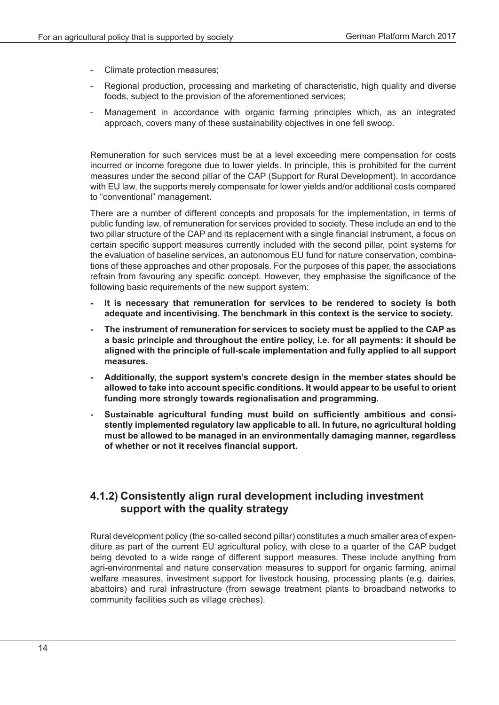- Climate protection measures;
- Regional production, processing and marketing of characteristic, high quality and diverse foods, subject to the provision of the aforementioned services;
- Management in accordance with organic farming principles which, as an integrated approach, covers many of these sustainability objectives in one fell swoop.

Remuneration for such services must be at a level exceeding mere compensation for costs incurred or income foregone due to lower yields. In principle, this is prohibited for the current measures under the second pillar of the CAP (Support for Rural Development). In accordance with EU law, the supports merely compensate for lower yields and/or additional costs compared to "conventional" management.

There are a number of different concepts and proposals for the implementation, in terms of public funding law, of remuneration for services provided to society. These include an end to the two pillar structure of the CAP and its replacement with a single financial instrument, a focus on certain specific support measures currently included with the second pillar, point systems for the evaluation of baseline services, an autonomous EU fund for nature conservation, combinations of these approaches and other proposals. For the purposes of this paper, the associations refrain from favouring any specific concept. However, they emphasise the significance of the following basic requirements of the new support system:

- **It is necessary that remuneration for services to be rendered to society is both adequate and incentivising. The benchmark in this context is the service to society.**
- **The instrument of remuneration for services to society must be applied to the CAP as a basic principle and throughout the entire policy, i.e. for all payments: it should be aligned with the principle of full-scale implementation and fully applied to all support measures.**
- **Additionally, the support system's concrete design in the member states should be allowed to take into account specific conditions. It would appear to be useful to orient funding more strongly towards regionalisation and programming.**
- **Sustainable agricultural funding must build on sufficiently ambitious and consistently implemented regulatory law applicable to all. In future, no agricultural holding must be allowed to be managed in an environmentally damaging manner, regardless of whether or not it receives financial support.**

#### **4.1.2) Consistently align rural development including investment support with the quality strategy**

Rural development policy (the so-called second pillar) constitutes a much smaller area of expenditure as part of the current EU agricultural policy, with close to a quarter of the CAP budget being devoted to a wide range of different support measures. These include anything from agri-environmental and nature conservation measures to support for organic farming, animal welfare measures, investment support for livestock housing, processing plants (e.g. dairies, abattoirs) and rural infrastructure (from sewage treatment plants to broadband networks to community facilities such as village crèches).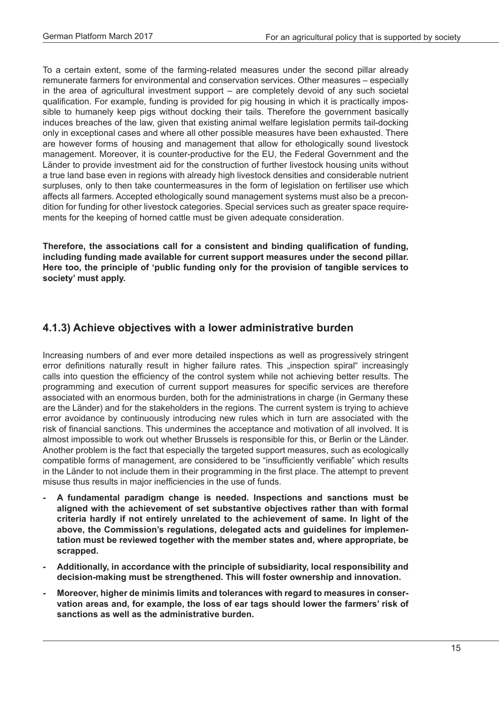To a certain extent, some of the farming-related measures under the second pillar already remunerate farmers for environmental and conservation services. Other measures – especially in the area of agricultural investment support – are completely devoid of any such societal qualification. For example, funding is provided for pig housing in which it is practically impossible to humanely keep pigs without docking their tails. Therefore the government basically induces breaches of the law, given that existing animal welfare legislation permits tail-docking only in exceptional cases and where all other possible measures have been exhausted. There are however forms of housing and management that allow for ethologically sound livestock management. Moreover, it is counter-productive for the EU, the Federal Government and the Länder to provide investment aid for the construction of further livestock housing units without a true land base even in regions with already high livestock densities and considerable nutrient surpluses, only to then take countermeasures in the form of legislation on fertiliser use which affects all farmers. Accepted ethologically sound management systems must also be a precondition for funding for other livestock categories. Special services such as greater space requirements for the keeping of horned cattle must be given adequate consideration.

**Therefore, the associations call for a consistent and binding qualification of funding, including funding made available for current support measures under the second pillar. Here too, the principle of 'public funding only for the provision of tangible services to society' must apply.**

#### **4.1.3) Achieve objectives with a lower administrative burden**

Increasing numbers of and ever more detailed inspections as well as progressively stringent error definitions naturally result in higher failure rates. This "inspection spiral" increasingly calls into question the efficiency of the control system while not achieving better results. The programming and execution of current support measures for specific services are therefore associated with an enormous burden, both for the administrations in charge (in Germany these are the Länder) and for the stakeholders in the regions. The current system is trying to achieve error avoidance by continuously introducing new rules which in turn are associated with the risk of financial sanctions. This undermines the acceptance and motivation of all involved. It is almost impossible to work out whether Brussels is responsible for this, or Berlin or the Länder. Another problem is the fact that especially the targeted support measures, such as ecologically compatible forms of management, are considered to be "insufficiently verifiable" which results in the Länder to not include them in their programming in the first place. The attempt to prevent misuse thus results in major inefficiencies in the use of funds.

- **- A fundamental paradigm change is needed. Inspections and sanctions must be aligned with the achievement of set substantive objectives rather than with formal criteria hardly if not entirely unrelated to the achievement of same. In light of the above, the Commission's regulations, delegated acts and guidelines for implementation must be reviewed together with the member states and, where appropriate, be scrapped.**
- **- Additionally, in accordance with the principle of subsidiarity, local responsibility and decision-making must be strengthened. This will foster ownership and innovation.**
- **- Moreover, higher de minimis limits and tolerances with regard to measures in conservation areas and, for example, the loss of ear tags should lower the farmers' risk of sanctions as well as the administrative burden.**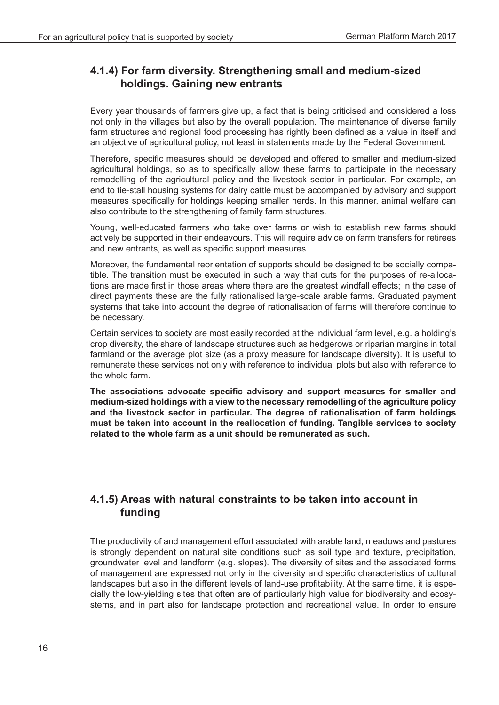#### **4.1.4) For farm diversity. Strengthening small and medium-sized holdings. Gaining new entrants**

Every year thousands of farmers give up, a fact that is being criticised and considered a loss not only in the villages but also by the overall population. The maintenance of diverse family farm structures and regional food processing has rightly been defined as a value in itself and an objective of agricultural policy, not least in statements made by the Federal Government.

Therefore, specific measures should be developed and offered to smaller and medium-sized agricultural holdings, so as to specifically allow these farms to participate in the necessary remodelling of the agricultural policy and the livestock sector in particular. For example, an end to tie-stall housing systems for dairy cattle must be accompanied by advisory and support measures specifically for holdings keeping smaller herds. In this manner, animal welfare can also contribute to the strengthening of family farm structures.

Young, well-educated farmers who take over farms or wish to establish new farms should actively be supported in their endeavours. This will require advice on farm transfers for retirees and new entrants, as well as specific support measures.

Moreover, the fundamental reorientation of supports should be designed to be socially compatible. The transition must be executed in such a way that cuts for the purposes of re-allocations are made first in those areas where there are the greatest windfall effects; in the case of direct payments these are the fully rationalised large-scale arable farms. Graduated payment systems that take into account the degree of rationalisation of farms will therefore continue to be necessary.

Certain services to society are most easily recorded at the individual farm level, e.g. a holding's crop diversity, the share of landscape structures such as hedgerows or riparian margins in total farmland or the average plot size (as a proxy measure for landscape diversity). It is useful to remunerate these services not only with reference to individual plots but also with reference to the whole farm.

**The associations advocate specific advisory and support measures for smaller and medium-sized holdings with a view to the necessary remodelling of the agriculture policy and the livestock sector in particular. The degree of rationalisation of farm holdings must be taken into account in the reallocation of funding. Tangible services to society related to the whole farm as a unit should be remunerated as such.**

#### **4.1.5) Areas with natural constraints to be taken into account in funding**

The productivity of and management effort associated with arable land, meadows and pastures is strongly dependent on natural site conditions such as soil type and texture, precipitation, groundwater level and landform (e.g. slopes). The diversity of sites and the associated forms of management are expressed not only in the diversity and specific characteristics of cultural landscapes but also in the different levels of land-use profitability. At the same time, it is especially the low-yielding sites that often are of particularly high value for biodiversity and ecosystems, and in part also for landscape protection and recreational value. In order to ensure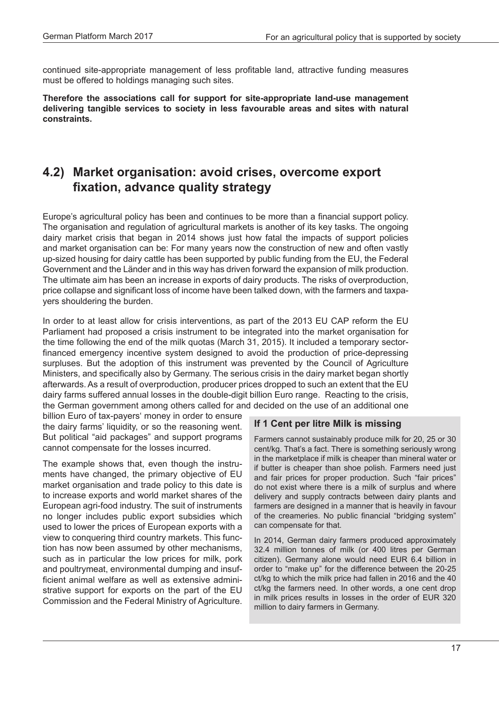continued site-appropriate management of less profitable land, attractive funding measures must be offered to holdings managing such sites.

**Therefore the associations call for support for site-appropriate land-use management delivering tangible services to society in less favourable areas and sites with natural constraints.**

## **4.2) Market organisation: avoid crises, overcome export fixation, advance quality strategy**

Europe's agricultural policy has been and continues to be more than a financial support policy. The organisation and regulation of agricultural markets is another of its key tasks. The ongoing dairy market crisis that began in 2014 shows just how fatal the impacts of support policies and market organisation can be: For many years now the construction of new and often vastly up-sized housing for dairy cattle has been supported by public funding from the EU, the Federal Government and the Länder and in this way has driven forward the expansion of milk production. The ultimate aim has been an increase in exports of dairy products. The risks of overproduction, price collapse and significant loss of income have been talked down, with the farmers and taxpayers shouldering the burden.

In order to at least allow for crisis interventions, as part of the 2013 EU CAP reform the EU Parliament had proposed a crisis instrument to be integrated into the market organisation for the time following the end of the milk quotas (March 31, 2015). It included a temporary sectorfinanced emergency incentive system designed to avoid the production of price-depressing surpluses. But the adoption of this instrument was prevented by the Council of Agriculture Ministers, and specifically also by Germany. The serious crisis in the dairy market began shortly afterwards. As a result of overproduction, producer prices dropped to such an extent that the EU dairy farms suffered annual losses in the double-digit billion Euro range. Reacting to the crisis, the German government among others called for and decided on the use of an additional one

billion Euro of tax-payers' money in order to ensure the dairy farms' liquidity, or so the reasoning went. But political "aid packages" and support programs cannot compensate for the losses incurred.

The example shows that, even though the instruments have changed, the primary objective of EU market organisation and trade policy to this date is to increase exports and world market shares of the European agri-food industry. The suit of instruments no longer includes public export subsidies which used to lower the prices of European exports with a view to conquering third country markets. This function has now been assumed by other mechanisms, such as in particular the low prices for milk, pork and poultrymeat, environmental dumping and insufficient animal welfare as well as extensive administrative support for exports on the part of the EU Commission and the Federal Ministry of Agriculture.

#### **If 1 Cent per litre Milk is missing**

Farmers cannot sustainably produce milk for 20, 25 or 30 cent/kg. That's a fact. There is something seriously wrong in the marketplace if milk is cheaper than mineral water or if butter is cheaper than shoe polish. Farmers need just and fair prices for proper production. Such "fair prices" do not exist where there is a milk of surplus and where delivery and supply contracts between dairy plants and farmers are designed in a manner that is heavily in favour of the creameries. No public financial "bridging system" can compensate for that.

In 2014, German dairy farmers produced approximately 32.4 million tonnes of milk (or 400 litres per German citizen). Germany alone would need EUR 6.4 billion in order to "make up" for the difference between the 20-25 ct/kg to which the milk price had fallen in 2016 and the 40 ct/kg the farmers need. In other words, a one cent drop in milk prices results in losses in the order of EUR 320 million to dairy farmers in Germany.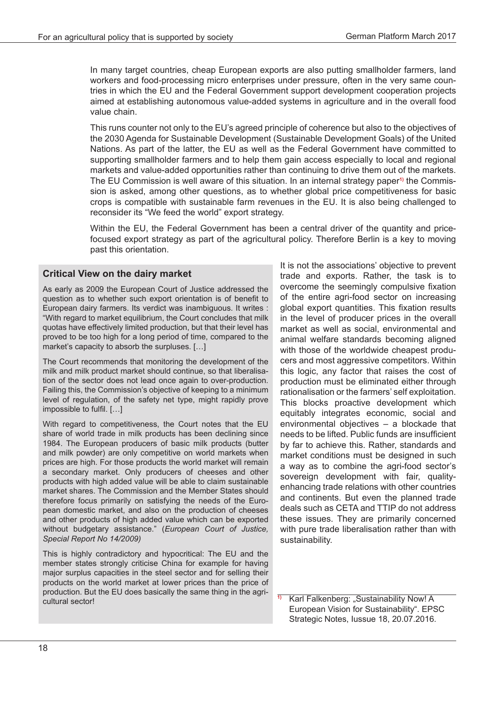In many target countries, cheap European exports are also putting smallholder farmers, land workers and food-processing micro enterprises under pressure, often in the very same countries in which the EU and the Federal Government support development cooperation projects aimed at establishing autonomous value-added systems in agriculture and in the overall food value chain.

This runs counter not only to the EU's agreed principle of coherence but also to the objectives of the 2030 Agenda for Sustainable Development (Sustainable Development Goals) of the United Nations. As part of the latter, the EU as well as the Federal Government have committed to supporting smallholder farmers and to help them gain access especially to local and regional markets and value-added opportunities rather than continuing to drive them out of the markets. The EU Commission is well aware of this situation. In an internal strategy paper**1)** the Commission is asked, among other questions, as to whether global price competitiveness for basic crops is compatible with sustainable farm revenues in the EU. It is also being challenged to reconsider its "We feed the world" export strategy.

Within the EU, the Federal Government has been a central driver of the quantity and pricefocused export strategy as part of the agricultural policy. Therefore Berlin is a key to moving past this orientation.

#### **Critical View on the dairy market**

As early as 2009 the European Court of Justice addressed the question as to whether such export orientation is of benefit to European dairy farmers. Its verdict was inambiguous. It writes : "With regard to market equilibrium, the Court concludes that milk quotas have effectively limited production, but that their level has proved to be too high for a long period of time, compared to the market's capacity to absorb the surpluses. […]

The Court recommends that monitoring the development of the milk and milk product market should continue, so that liberalisation of the sector does not lead once again to over-production. Failing this, the Commission's objective of keeping to a minimum level of regulation, of the safety net type, might rapidly prove impossible to fulfil. […]

With regard to competitiveness, the Court notes that the EU share of world trade in milk products has been declining since 1984. The European producers of basic milk products (butter and milk powder) are only competitive on world markets when prices are high. For those products the world market will remain a secondary market. Only producers of cheeses and other products with high added value will be able to claim sustainable market shares. The Commission and the Member States should therefore focus primarily on satisfying the needs of the European domestic market, and also on the production of cheeses and other products of high added value which can be exported without budgetary assistance." (*European Court of Justice, Special Report No 14/2009)*

This is highly contradictory and hypocritical: The EU and the member states strongly criticise China for example for having major surplus capacities in the steel sector and for selling their products on the world market at lower prices than the price of production. But the EU does basically the same thing in the agricultural sector! **1)** Karl Falkenberg: "Sustainability Now! A

It is not the associations' objective to prevent trade and exports. Rather, the task is to overcome the seemingly compulsive fixation of the entire agri-food sector on increasing global export quantities. This fixation results in the level of producer prices in the overall market as well as social, environmental and animal welfare standards becoming aligned with those of the worldwide cheapest producers and most aggressive competitors. Within this logic, any factor that raises the cost of production must be eliminated either through rationalisation or the farmers' self exploitation. This blocks proactive development which equitably integrates economic, social and environmental objectives – a blockade that needs to be lifted. Public funds are insufficient by far to achieve this. Rather, standards and market conditions must be designed in such a way as to combine the agri-food sector's sovereign development with fair, qualityenhancing trade relations with other countries and continents. But even the planned trade deals such as CETA and TTIP do not address these issues. They are primarily concerned with pure trade liberalisation rather than with sustainability.

European Vision for Sustainability". EPSC Strategic Notes, Iussue 18, 20.07.2016.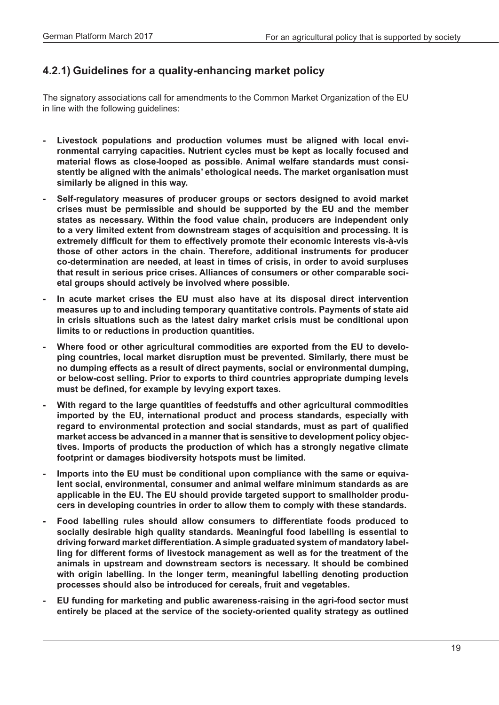#### **4.2.1) Guidelines for a quality-enhancing market policy**

The signatory associations call for amendments to the Common Market Organization of the EU in line with the following guidelines:

- **- Livestock populations and production volumes must be aligned with local environmental carrying capacities. Nutrient cycles must be kept as locally focused and material flows as close-looped as possible. Animal welfare standards must consistently be aligned with the animals' ethological needs. The market organisation must similarly be aligned in this way.**
- **- Self-regulatory measures of producer groups or sectors designed to avoid market crises must be permissible and should be supported by the EU and the member states as necessary. Within the food value chain, producers are independent only to a very limited extent from downstream stages of acquisition and processing. It is extremely difficult for them to effectively promote their economic interests vis-à-vis those of other actors in the chain. Therefore, additional instruments for producer co-determination are needed, at least in times of crisis, in order to avoid surpluses that result in serious price crises. Alliances of consumers or other comparable societal groups should actively be involved where possible.**
- **- In acute market crises the EU must also have at its disposal direct intervention measures up to and including temporary quantitative controls. Payments of state aid in crisis situations such as the latest dairy market crisis must be conditional upon limits to or reductions in production quantities.**
- **- Where food or other agricultural commodities are exported from the EU to developing countries, local market disruption must be prevented. Similarly, there must be no dumping effects as a result of direct payments, social or environmental dumping, or below-cost selling. Prior to exports to third countries appropriate dumping levels must be defined, for example by levying export taxes.**
- **- With regard to the large quantities of feedstuffs and other agricultural commodities imported by the EU, international product and process standards, especially with regard to environmental protection and social standards, must as part of qualified market access be advanced in a manner that is sensitive to development policy objectives. Imports of products the production of which has a strongly negative climate footprint or damages biodiversity hotspots must be limited.**
- **- Imports into the EU must be conditional upon compliance with the same or equivalent social, environmental, consumer and animal welfare minimum standards as are applicable in the EU. The EU should provide targeted support to smallholder producers in developing countries in order to allow them to comply with these standards.**
- **- Food labelling rules should allow consumers to differentiate foods produced to socially desirable high quality standards. Meaningful food labelling is essential to driving forward market differentiation. A simple graduated system of mandatory labelling for different forms of livestock management as well as for the treatment of the animals in upstream and downstream sectors is necessary. It should be combined with origin labelling. In the longer term, meaningful labelling denoting production processes should also be introduced for cereals, fruit and vegetables.**
- **- EU funding for marketing and public awareness-raising in the agri-food sector must entirely be placed at the service of the society-oriented quality strategy as outlined**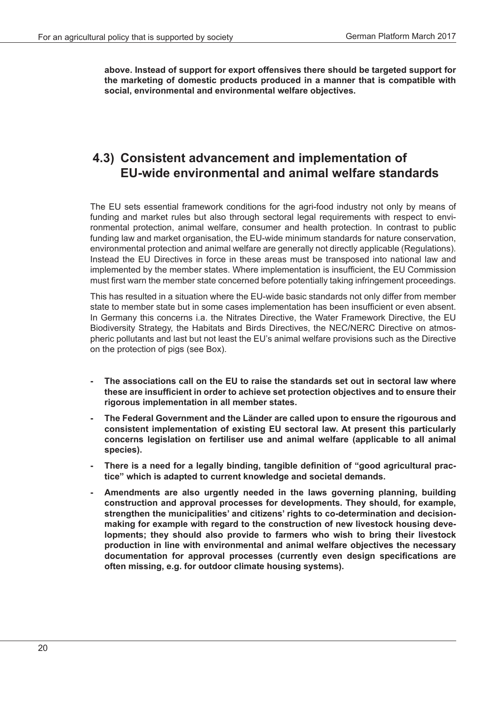**above. Instead of support for export offensives there should be targeted support for the marketing of domestic products produced in a manner that is compatible with social, environmental and environmental welfare objectives.**

## **4.3) Consistent advancement and implementation of EU-wide environmental and animal welfare standards**

The EU sets essential framework conditions for the agri-food industry not only by means of funding and market rules but also through sectoral legal requirements with respect to environmental protection, animal welfare, consumer and health protection. In contrast to public funding law and market organisation, the EU-wide minimum standards for nature conservation, environmental protection and animal welfare are generally not directly applicable (Regulations). Instead the EU Directives in force in these areas must be transposed into national law and implemented by the member states. Where implementation is insufficient, the EU Commission must first warn the member state concerned before potentially taking infringement proceedings.

This has resulted in a situation where the EU-wide basic standards not only differ from member state to member state but in some cases implementation has been insufficient or even absent. In Germany this concerns i.a. the Nitrates Directive, the Water Framework Directive, the EU Biodiversity Strategy, the Habitats and Birds Directives, the NEC/NERC Directive on atmospheric pollutants and last but not least the EU's animal welfare provisions such as the Directive on the protection of pigs (see Box).

- **- The associations call on the EU to raise the standards set out in sectoral law where these are insufficient in order to achieve set protection objectives and to ensure their rigorous implementation in all member states.**
- **- The Federal Government and the Länder are called upon to ensure the rigourous and consistent implementation of existing EU sectoral law. At present this particularly concerns legislation on fertiliser use and animal welfare (applicable to all animal species).**
- **- There is a need for a legally binding, tangible definition of "good agricultural practice" which is adapted to current knowledge and societal demands.**
- **- Amendments are also urgently needed in the laws governing planning, building construction and approval processes for developments. They should, for example, strengthen the municipalities' and citizens' rights to co-determination and decisionmaking for example with regard to the construction of new livestock housing developments; they should also provide to farmers who wish to bring their livestock production in line with environmental and animal welfare objectives the necessary documentation for approval processes (currently even design specifications are often missing, e.g. for outdoor climate housing systems).**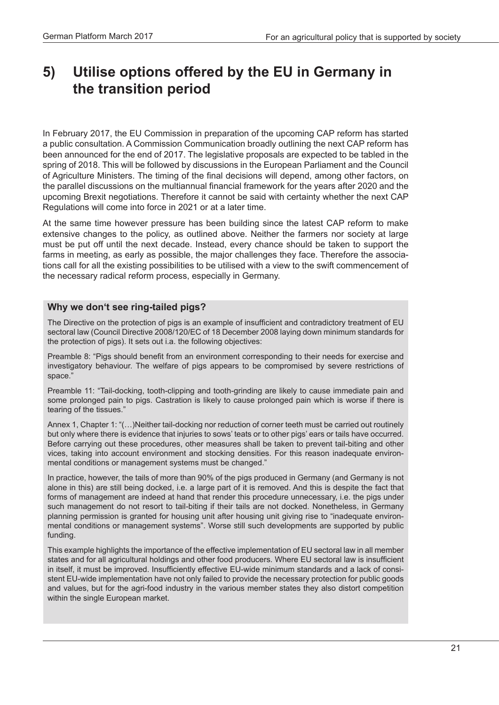# **5) Utilise options offered by the EU in Germany in the transition period**

In February 2017, the EU Commission in preparation of the upcoming CAP reform has started a public consultation. A Commission Communication broadly outlining the next CAP reform has been announced for the end of 2017. The legislative proposals are expected to be tabled in the spring of 2018. This will be followed by discussions in the European Parliament and the Council of Agriculture Ministers. The timing of the final decisions will depend, among other factors, on the parallel discussions on the multiannual financial framework for the years after 2020 and the upcoming Brexit negotiations. Therefore it cannot be said with certainty whether the next CAP Regulations will come into force in 2021 or at a later time.

At the same time however pressure has been building since the latest CAP reform to make extensive changes to the policy, as outlined above. Neither the farmers nor society at large must be put off until the next decade. Instead, every chance should be taken to support the farms in meeting, as early as possible, the major challenges they face. Therefore the associations call for all the existing possibilities to be utilised with a view to the swift commencement of the necessary radical reform process, especially in Germany.

#### **Why we don't see ring-tailed pigs?**

The Directive on the protection of pigs is an example of insufficient and contradictory treatment of EU sectoral law (Council Directive 2008/120/EC of 18 December 2008 laying down minimum standards for the protection of pigs). It sets out i.a. the following objectives:

Preamble 8: "Pigs should benefit from an environment corresponding to their needs for exercise and investigatory behaviour. The welfare of pigs appears to be compromised by severe restrictions of space."

Preamble 11: "Tail-docking, tooth-clipping and tooth-grinding are likely to cause immediate pain and some prolonged pain to pigs. Castration is likely to cause prolonged pain which is worse if there is tearing of the tissues."

Annex 1, Chapter 1: "(…)Neither tail-docking nor reduction of corner teeth must be carried out routinely but only where there is evidence that injuries to sows' teats or to other pigs' ears or tails have occurred. Before carrying out these procedures, other measures shall be taken to prevent tail-biting and other vices, taking into account environment and stocking densities. For this reason inadequate environmental conditions or management systems must be changed."

In practice, however, the tails of more than 90% of the pigs produced in Germany (and Germany is not alone in this) are still being docked, i.e. a large part of it is removed. And this is despite the fact that forms of management are indeed at hand that render this procedure unnecessary, i.e. the pigs under such management do not resort to tail-biting if their tails are not docked. Nonetheless, in Germany planning permission is granted for housing unit after housing unit giving rise to "inadequate environmental conditions or management systems". Worse still such developments are supported by public funding.

This example highlights the importance of the effective implementation of EU sectoral law in all member states and for all agricultural holdings and other food producers. Where EU sectoral law is insufficient in itself, it must be improved. Insufficiently effective EU-wide minimum standards and a lack of consistent EU-wide implementation have not only failed to provide the necessary protection for public goods and values, but for the agri-food industry in the various member states they also distort competition within the single European market.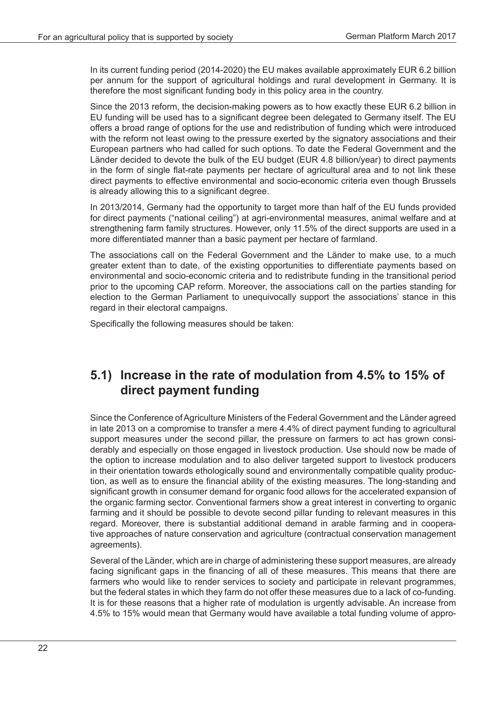In its current funding period (2014-2020) the EU makes available approximately EUR 6.2 billion per annum for the support of agricultural holdings and rural development in Germany. It is therefore the most significant funding body in this policy area in the country.

Since the 2013 reform, the decision-making powers as to how exactly these EUR 6.2 billion in EU funding will be used has to a significant degree been delegated to Germany itself. The EU offers a broad range of options for the use and redistribution of funding which were introduced with the reform not least owing to the pressure exerted by the signatory associations and their European partners who had called for such options. To date the Federal Government and the Länder decided to devote the bulk of the EU budget (EUR 4.8 billion/year) to direct payments in the form of single flat-rate payments per hectare of agricultural area and to not link these direct payments to effective environmental and socio-economic criteria even though Brussels is already allowing this to a significant degree.

In 2013/2014, Germany had the opportunity to target more than half of the EU funds provided for direct payments ("national ceiling") at agri-environmental measures, animal welfare and at strengthening farm family structures. However, only 11.5% of the direct supports are used in a more differentiated manner than a basic payment per hectare of farmland.

The associations call on the Federal Government and the Länder to make use, to a much greater extent than to date, of the existing opportunities to differentiate payments based on environmental and socio-economic criteria and to redistribute funding in the transitional period prior to the upcoming CAP reform. Moreover, the associations call on the parties standing for election to the German Parliament to unequivocally support the associations' stance in this regard in their electoral campaigns.

Specifically the following measures should be taken:

## **5.1) Increase in the rate of modulation from 4.5% to 15% of direct payment funding**

Since the Conference of Agriculture Ministers of the Federal Government and the Länder agreed in late 2013 on a compromise to transfer a mere 4.4% of direct payment funding to agricultural support measures under the second pillar, the pressure on farmers to act has grown considerably and especially on those engaged in livestock production. Use should now be made of the option to increase modulation and to also deliver targeted support to livestock producers in their orientation towards ethologically sound and environmentally compatible quality production, as well as to ensure the financial ability of the existing measures. The long-standing and significant growth in consumer demand for organic food allows for the accelerated expansion of the organic farming sector. Conventional farmers show a great interest in converting to organic farming and it should be possible to devote second pillar funding to relevant measures in this regard. Moreover, there is substantial additional demand in arable farming and in cooperative approaches of nature conservation and agriculture (contractual conservation management agreements).

Several of the Länder, which are in charge of administering these support measures, are already facing significant gaps in the financing of all of these measures. This means that there are farmers who would like to render services to society and participate in relevant programmes, but the federal states in which they farm do not offer these measures due to a lack of co-funding. It is for these reasons that a higher rate of modulation is urgently advisable. An increase from 4.5% to 15% would mean that Germany would have available a total funding volume of appro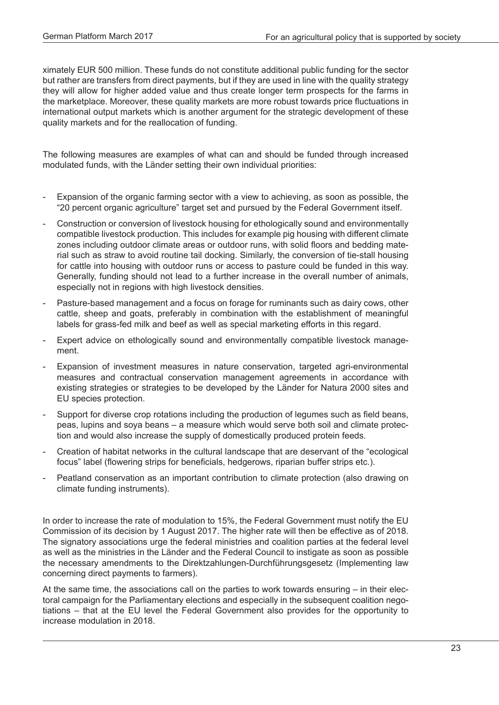ximately EUR 500 million. These funds do not constitute additional public funding for the sector but rather are transfers from direct payments, but if they are used in line with the quality strategy they will allow for higher added value and thus create longer term prospects for the farms in the marketplace. Moreover, these quality markets are more robust towards price fluctuations in international output markets which is another argument for the strategic development of these quality markets and for the reallocation of funding.

The following measures are examples of what can and should be funded through increased modulated funds, with the Länder setting their own individual priorities:

- Expansion of the organic farming sector with a view to achieving, as soon as possible, the "20 percent organic agriculture" target set and pursued by the Federal Government itself.
- Construction or conversion of livestock housing for ethologically sound and environmentally compatible livestock production. This includes for example pig housing with different climate zones including outdoor climate areas or outdoor runs, with solid floors and bedding material such as straw to avoid routine tail docking. Similarly, the conversion of tie-stall housing for cattle into housing with outdoor runs or access to pasture could be funded in this way. Generally, funding should not lead to a further increase in the overall number of animals, especially not in regions with high livestock densities.
- Pasture-based management and a focus on forage for ruminants such as dairy cows, other cattle, sheep and goats, preferably in combination with the establishment of meaningful labels for grass-fed milk and beef as well as special marketing efforts in this regard.
- Expert advice on ethologically sound and environmentally compatible livestock management.
- Expansion of investment measures in nature conservation, targeted agri-environmental measures and contractual conservation management agreements in accordance with existing strategies or strategies to be developed by the Länder for Natura 2000 sites and EU species protection.
- Support for diverse crop rotations including the production of legumes such as field beans, peas, lupins and soya beans – a measure which would serve both soil and climate protection and would also increase the supply of domestically produced protein feeds.
- Creation of habitat networks in the cultural landscape that are deservant of the "ecological focus" label (flowering strips for beneficials, hedgerows, riparian buffer strips etc.).
- Peatland conservation as an important contribution to climate protection (also drawing on climate funding instruments).

In order to increase the rate of modulation to 15%, the Federal Government must notify the EU Commission of its decision by 1 August 2017. The higher rate will then be effective as of 2018. The signatory associations urge the federal ministries and coalition parties at the federal level as well as the ministries in the Länder and the Federal Council to instigate as soon as possible the necessary amendments to the Direktzahlungen-Durchführungsgesetz (Implementing law concerning direct payments to farmers).

At the same time, the associations call on the parties to work towards ensuring – in their electoral campaign for the Parliamentary elections and especially in the subsequent coalition negotiations – that at the EU level the Federal Government also provides for the opportunity to increase modulation in 2018.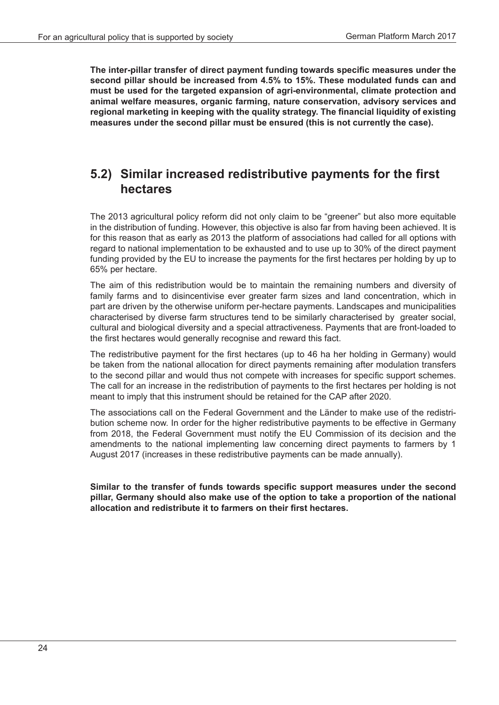**The inter-pillar transfer of direct payment funding towards specific measures under the second pillar should be increased from 4.5% to 15%. These modulated funds can and must be used for the targeted expansion of agri-environmental, climate protection and animal welfare measures, organic farming, nature conservation, advisory services and regional marketing in keeping with the quality strategy. The financial liquidity of existing measures under the second pillar must be ensured (this is not currently the case).**

## **5.2) Similar increased redistributive payments for the first hectares**

The 2013 agricultural policy reform did not only claim to be "greener" but also more equitable in the distribution of funding. However, this objective is also far from having been achieved. It is for this reason that as early as 2013 the platform of associations had called for all options with regard to national implementation to be exhausted and to use up to 30% of the direct payment funding provided by the EU to increase the payments for the first hectares per holding by up to 65% per hectare.

The aim of this redistribution would be to maintain the remaining numbers and diversity of family farms and to disincentivise ever greater farm sizes and land concentration, which in part are driven by the otherwise uniform per-hectare payments. Landscapes and municipalities characterised by diverse farm structures tend to be similarly characterised by greater social, cultural and biological diversity and a special attractiveness. Payments that are front-loaded to the first hectares would generally recognise and reward this fact.

The redistributive payment for the first hectares (up to 46 ha her holding in Germany) would be taken from the national allocation for direct payments remaining after modulation transfers to the second pillar and would thus not compete with increases for specific support schemes. The call for an increase in the redistribution of payments to the first hectares per holding is not meant to imply that this instrument should be retained for the CAP after 2020.

The associations call on the Federal Government and the Länder to make use of the redistribution scheme now. In order for the higher redistributive payments to be effective in Germany from 2018, the Federal Government must notify the EU Commission of its decision and the amendments to the national implementing law concerning direct payments to farmers by 1 August 2017 (increases in these redistributive payments can be made annually).

**Similar to the transfer of funds towards specific support measures under the second pillar, Germany should also make use of the option to take a proportion of the national allocation and redistribute it to farmers on their first hectares.**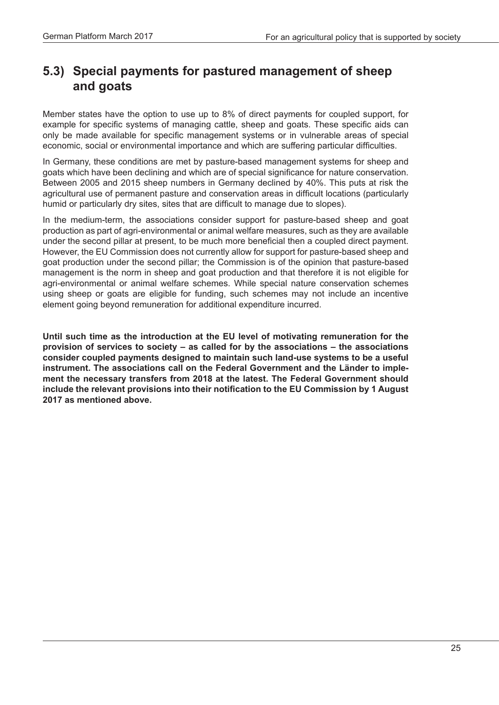## **5.3) Special payments for pastured management of sheep and goats**

Member states have the option to use up to 8% of direct payments for coupled support, for example for specific systems of managing cattle, sheep and goats. These specific aids can only be made available for specific management systems or in vulnerable areas of special economic, social or environmental importance and which are suffering particular difficulties.

In Germany, these conditions are met by pasture-based management systems for sheep and goats which have been declining and which are of special significance for nature conservation. Between 2005 and 2015 sheep numbers in Germany declined by 40%. This puts at risk the agricultural use of permanent pasture and conservation areas in difficult locations (particularly humid or particularly dry sites, sites that are difficult to manage due to slopes).

In the medium-term, the associations consider support for pasture-based sheep and goat production as part of agri-environmental or animal welfare measures, such as they are available under the second pillar at present, to be much more beneficial then a coupled direct payment. However, the EU Commission does not currently allow for support for pasture-based sheep and goat production under the second pillar; the Commission is of the opinion that pasture-based management is the norm in sheep and goat production and that therefore it is not eligible for agri-environmental or animal welfare schemes. While special nature conservation schemes using sheep or goats are eligible for funding, such schemes may not include an incentive element going beyond remuneration for additional expenditure incurred.

**Until such time as the introduction at the EU level of motivating remuneration for the provision of services to society – as called for by the associations – the associations consider coupled payments designed to maintain such land-use systems to be a useful instrument. The associations call on the Federal Government and the Länder to implement the necessary transfers from 2018 at the latest. The Federal Government should include the relevant provisions into their notification to the EU Commission by 1 August 2017 as mentioned above.**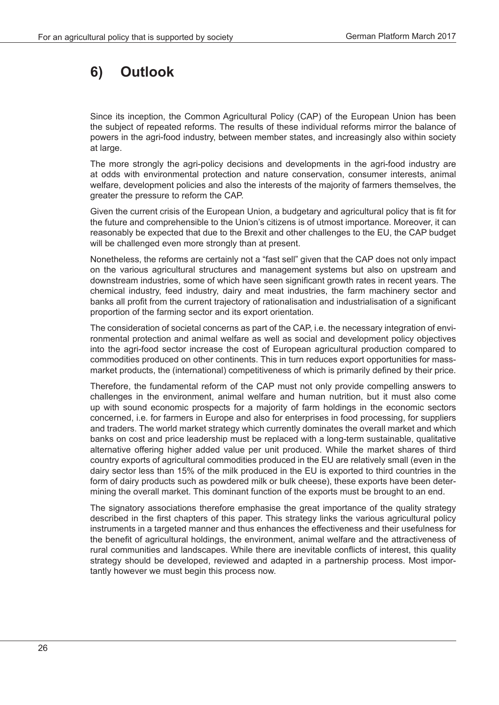# **6) Outlook**

Since its inception, the Common Agricultural Policy (CAP) of the European Union has been the subject of repeated reforms. The results of these individual reforms mirror the balance of powers in the agri-food industry, between member states, and increasingly also within society at large.

The more strongly the agri-policy decisions and developments in the agri-food industry are at odds with environmental protection and nature conservation, consumer interests, animal welfare, development policies and also the interests of the majority of farmers themselves, the greater the pressure to reform the CAP.

Given the current crisis of the European Union, a budgetary and agricultural policy that is fit for the future and comprehensible to the Union's citizens is of utmost importance. Moreover, it can reasonably be expected that due to the Brexit and other challenges to the EU, the CAP budget will be challenged even more strongly than at present.

Nonetheless, the reforms are certainly not a "fast sell" given that the CAP does not only impact on the various agricultural structures and management systems but also on upstream and downstream industries, some of which have seen significant growth rates in recent years. The chemical industry, feed industry, dairy and meat industries, the farm machinery sector and banks all profit from the current trajectory of rationalisation and industrialisation of a significant proportion of the farming sector and its export orientation.

The consideration of societal concerns as part of the CAP, i.e. the necessary integration of environmental protection and animal welfare as well as social and development policy objectives into the agri-food sector increase the cost of European agricultural production compared to commodities produced on other continents. This in turn reduces export opportunities for massmarket products, the (international) competitiveness of which is primarily defined by their price.

Therefore, the fundamental reform of the CAP must not only provide compelling answers to challenges in the environment, animal welfare and human nutrition, but it must also come up with sound economic prospects for a majority of farm holdings in the economic sectors concerned, i.e. for farmers in Europe and also for enterprises in food processing, for suppliers and traders. The world market strategy which currently dominates the overall market and which banks on cost and price leadership must be replaced with a long-term sustainable, qualitative alternative offering higher added value per unit produced. While the market shares of third country exports of agricultural commodities produced in the EU are relatively small (even in the dairy sector less than 15% of the milk produced in the EU is exported to third countries in the form of dairy products such as powdered milk or bulk cheese), these exports have been determining the overall market. This dominant function of the exports must be brought to an end.

The signatory associations therefore emphasise the great importance of the quality strategy described in the first chapters of this paper. This strategy links the various agricultural policy instruments in a targeted manner and thus enhances the effectiveness and their usefulness for the benefit of agricultural holdings, the environment, animal welfare and the attractiveness of rural communities and landscapes. While there are inevitable conflicts of interest, this quality strategy should be developed, reviewed and adapted in a partnership process. Most importantly however we must begin this process now.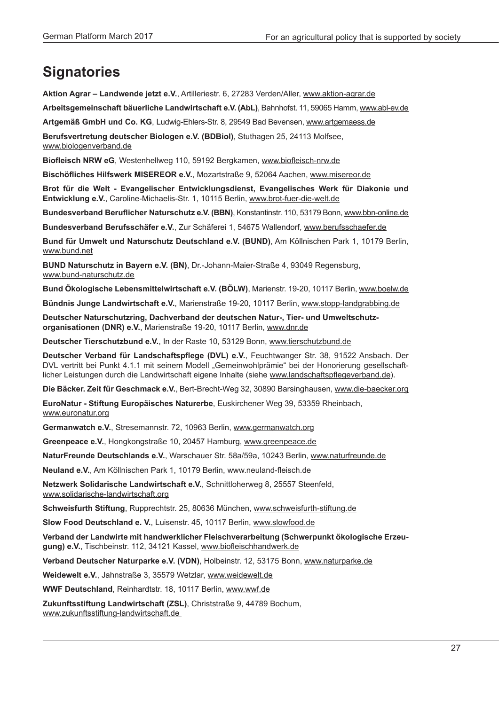# **Signatories**

**Aktion Agrar – Landwende jetzt e.V.**, Artilleriestr. 6, 27283 Verden/Aller, www.aktion-agrar.de

**Arbeitsgemeinschaft bäuerliche Landwirtschaft e.V. (AbL)**, Bahnhofst. 11, 59065 Hamm, www.abl-ev.de

**Artgemäß GmbH und Co. KG**, Ludwig-Ehlers-Str. 8, 29549 Bad Bevensen, www.artgemaess.de

**Berufsvertretung deutscher Biologen e.V. (BDBiol)**, Stuthagen 25, 24113 Molfsee, www.biologenverband.de

**Biofleisch NRW eG**, Westenhellweg 110, 59192 Bergkamen, www.biofleisch-nrw.de

**Bischöfliches Hilfswerk MISEREOR e.V.**, Mozartstraße 9, 52064 Aachen, www.misereor.de

**Brot für die Welt - Evangelischer Entwicklungsdienst, Evangelisches Werk für Diakonie und Entwicklung e.V.**, Caroline-Michaelis-Str. 1, 10115 Berlin, www.brot-fuer-die-welt.de

**Bundesverband Beruflicher Naturschutz e.V. (BBN)**, Konstantinstr. 110, 53179 Bonn, www.bbn-online.de

**Bundesverband Berufsschäfer e.V.**, Zur Schäferei 1, 54675 Wallendorf, www.berufsschaefer.de

**Bund für Umwelt und Naturschutz Deutschland e.V. (BUND)**, Am Köllnischen Park 1, 10179 Berlin, www.bund.net

**BUND Naturschutz in Bayern e.V. (BN)**, Dr.-Johann-Maier-Straße 4, 93049 Regensburg, www.bund-naturschutz.de

**Bund Ökologische Lebensmittelwirtschaft e.V. (BÖLW)**, Marienstr. 19-20, 10117 Berlin, www.boelw.de

**Bündnis Junge Landwirtschaft e.V.**, Marienstraße 19-20, 10117 Berlin, www.stopp-landgrabbing.de

**Deutscher Naturschutzring, Dachverband der deutschen Natur-, Tier- und Umweltschutzorganisationen (DNR) e.V.**, Marienstraße 19-20, 10117 Berlin, www.dnr.de

**Deutscher Tierschutzbund e.V.**, In der Raste 10, 53129 Bonn, www.tierschutzbund.de

**Deutscher Verband für Landschaftspflege (DVL) e.V.**, Feuchtwanger Str. 38, 91522 Ansbach. Der DVL vertritt bei Punkt 4.1.1 mit seinem Modell "Gemeinwohlprämie" bei der Honorierung gesellschaftlicher Leistungen durch die Landwirtschaft eigene Inhalte (siehe www.landschaftspflegeverband.de).

**Die Bäcker. Zeit für Geschmack e.V.**, Bert-Brecht-Weg 32, 30890 Barsinghausen, www.die-baecker.org

**EuroNatur - Stiftung Europäisches Naturerbe**, Euskirchener Weg 39, 53359 Rheinbach, www.euronatur.org

**Germanwatch e.V.**, Stresemannstr. 72, 10963 Berlin, www.germanwatch.org

**Greenpeace e.V.**, Hongkongstraße 10, 20457 Hamburg, www.greenpeace.de

**NaturFreunde Deutschlands e.V.**, Warschauer Str. 58a/59a, 10243 Berlin, www.naturfreunde.de

**Neuland e.V.**, Am Köllnischen Park 1, 10179 Berlin, www.neuland-fleisch.de

**Netzwerk Solidarische Landwirtschaft e.V.**, Schnittloherweg 8, 25557 Steenfeld, www.solidarische-landwirtschaft.org

**Schweisfurth Stiftung**, Rupprechtstr. 25, 80636 München, www.schweisfurth-stiftung.de

**Slow Food Deutschland e. V.**, Luisenstr. 45, 10117 Berlin, www.slowfood.de

**Verband der Landwirte mit handwerklicher Fleischverarbeitung (Schwerpunkt ökologische Erzeugung) e.V.**, Tischbeinstr. 112, 34121 Kassel, www.biofleischhandwerk.de

**Verband Deutscher Naturparke e.V. (VDN)**, Holbeinstr. 12, 53175 Bonn, www.naturparke.de

**Weidewelt e.V.**, Jahnstraße 3, 35579 Wetzlar, www.weidewelt.de

**WWF Deutschland**, Reinhardtstr. 18, 10117 Berlin, www.wwf.de

**Zukunftsstiftung Landwirtschaft (ZSL)**, Christstraße 9, 44789 Bochum, www.zukunftsstiftung-landwirtschaft.de